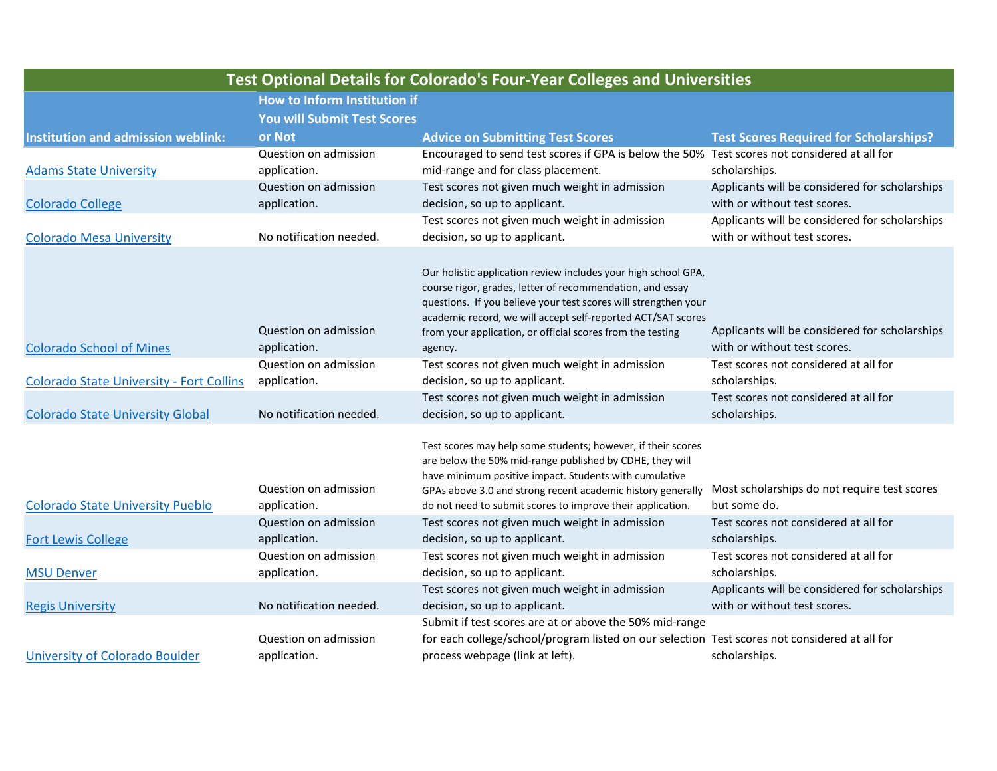| <b>Test Optional Details for Colorado's Four-Year Colleges and Universities</b> |                                    |                                                                                               |                                                                                |  |  |
|---------------------------------------------------------------------------------|------------------------------------|-----------------------------------------------------------------------------------------------|--------------------------------------------------------------------------------|--|--|
|                                                                                 | How to Inform Institution if       |                                                                                               |                                                                                |  |  |
|                                                                                 | <b>You will Submit Test Scores</b> |                                                                                               |                                                                                |  |  |
| <b>Institution and admission weblink:</b>                                       | or Not                             | <b>Advice on Submitting Test Scores</b>                                                       | <b>Test Scores Required for Scholarships?</b>                                  |  |  |
|                                                                                 | Question on admission              | Encouraged to send test scores if GPA is below the 50% Test scores not considered at all for  |                                                                                |  |  |
| <b>Adams State University</b>                                                   | application.                       | mid-range and for class placement.                                                            | scholarships.                                                                  |  |  |
|                                                                                 | Question on admission              | Test scores not given much weight in admission                                                | Applicants will be considered for scholarships                                 |  |  |
| <b>Colorado College</b>                                                         | application.                       | decision, so up to applicant.                                                                 | with or without test scores.                                                   |  |  |
|                                                                                 |                                    | Test scores not given much weight in admission                                                | Applicants will be considered for scholarships                                 |  |  |
| <b>Colorado Mesa University</b>                                                 | No notification needed.            | decision, so up to applicant.                                                                 | with or without test scores.                                                   |  |  |
|                                                                                 |                                    | Our holistic application review includes your high school GPA,                                |                                                                                |  |  |
|                                                                                 |                                    | course rigor, grades, letter of recommendation, and essay                                     |                                                                                |  |  |
|                                                                                 |                                    | questions. If you believe your test scores will strengthen your                               |                                                                                |  |  |
|                                                                                 |                                    | academic record, we will accept self-reported ACT/SAT scores                                  |                                                                                |  |  |
|                                                                                 | Question on admission              | from your application, or official scores from the testing                                    | Applicants will be considered for scholarships                                 |  |  |
| <b>Colorado School of Mines</b>                                                 | application.                       | agency.                                                                                       | with or without test scores.                                                   |  |  |
|                                                                                 | Question on admission              | Test scores not given much weight in admission                                                | Test scores not considered at all for                                          |  |  |
| <b>Colorado State University - Fort Collins</b>                                 | application.                       | decision, so up to applicant.                                                                 | scholarships.                                                                  |  |  |
|                                                                                 |                                    | Test scores not given much weight in admission                                                | Test scores not considered at all for                                          |  |  |
| <b>Colorado State University Global</b>                                         | No notification needed.            | decision, so up to applicant.                                                                 | scholarships.                                                                  |  |  |
|                                                                                 |                                    | Test scores may help some students; however, if their scores                                  |                                                                                |  |  |
|                                                                                 |                                    | are below the 50% mid-range published by CDHE, they will                                      |                                                                                |  |  |
|                                                                                 |                                    | have minimum positive impact. Students with cumulative                                        |                                                                                |  |  |
|                                                                                 | Question on admission              | GPAs above 3.0 and strong recent academic history generally                                   | Most scholarships do not require test scores                                   |  |  |
| <b>Colorado State University Pueblo</b>                                         | application.                       | do not need to submit scores to improve their application.                                    | but some do.                                                                   |  |  |
|                                                                                 | Question on admission              | Test scores not given much weight in admission                                                | Test scores not considered at all for                                          |  |  |
| <b>Fort Lewis College</b>                                                       | application.                       | decision, so up to applicant.                                                                 | scholarships.                                                                  |  |  |
|                                                                                 | Question on admission              | Test scores not given much weight in admission                                                | Test scores not considered at all for                                          |  |  |
| <b>MSU Denver</b>                                                               | application.                       | decision, so up to applicant.                                                                 | scholarships.                                                                  |  |  |
| <b>Regis University</b>                                                         | No notification needed.            | Test scores not given much weight in admission<br>decision, so up to applicant.               | Applicants will be considered for scholarships<br>with or without test scores. |  |  |
|                                                                                 |                                    | Submit if test scores are at or above the 50% mid-range                                       |                                                                                |  |  |
|                                                                                 | Question on admission              | for each college/school/program listed on our selection Test scores not considered at all for |                                                                                |  |  |
| University of Colorado Boulder                                                  | application.                       | process webpage (link at left).                                                               | scholarships.                                                                  |  |  |